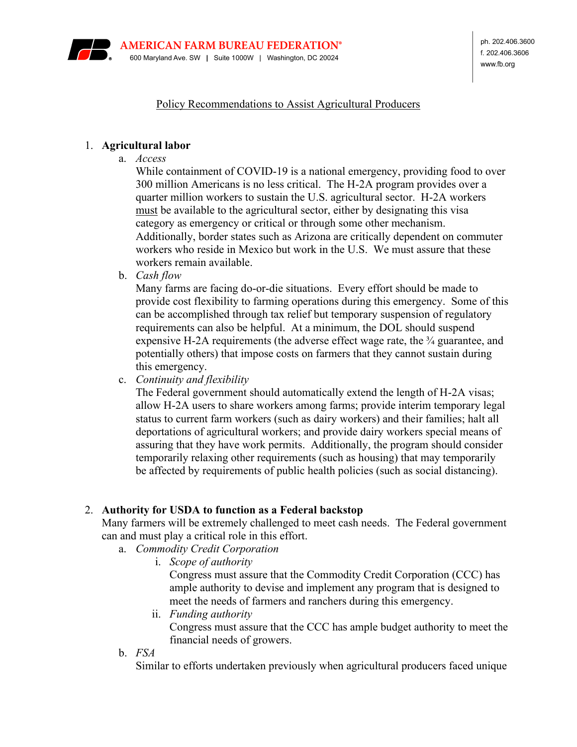

#### Policy Recommendations to Assist Agricultural Producers

#### 1. **Agricultural labor**

a. *Access*

While containment of COVID-19 is a national emergency, providing food to over 300 million Americans is no less critical. The H-2A program provides over a quarter million workers to sustain the U.S. agricultural sector. H-2A workers must be available to the agricultural sector, either by designating this visa category as emergency or critical or through some other mechanism. Additionally, border states such as Arizona are critically dependent on commuter workers who reside in Mexico but work in the U.S. We must assure that these workers remain available.

b. *Cash flow*

Many farms are facing do-or-die situations. Every effort should be made to provide cost flexibility to farming operations during this emergency. Some of this can be accomplished through tax relief but temporary suspension of regulatory requirements can also be helpful. At a minimum, the DOL should suspend expensive H-2A requirements (the adverse effect wage rate, the  $\frac{3}{4}$  guarantee, and potentially others) that impose costs on farmers that they cannot sustain during this emergency.

c. *Continuity and flexibility*

The Federal government should automatically extend the length of H-2A visas; allow H-2A users to share workers among farms; provide interim temporary legal status to current farm workers (such as dairy workers) and their families; halt all deportations of agricultural workers; and provide dairy workers special means of assuring that they have work permits. Additionally, the program should consider temporarily relaxing other requirements (such as housing) that may temporarily be affected by requirements of public health policies (such as social distancing).

## 2. **Authority for USDA to function as a Federal backstop**

Many farmers will be extremely challenged to meet cash needs. The Federal government can and must play a critical role in this effort.

- a. *Commodity Credit Corporation*
	- i. *Scope of authority*

Congress must assure that the Commodity Credit Corporation (CCC) has ample authority to devise and implement any program that is designed to meet the needs of farmers and ranchers during this emergency.

- ii. *Funding authority* Congress must assure that the CCC has ample budget authority to meet the financial needs of growers.
- b. *FSA*

Similar to efforts undertaken previously when agricultural producers faced unique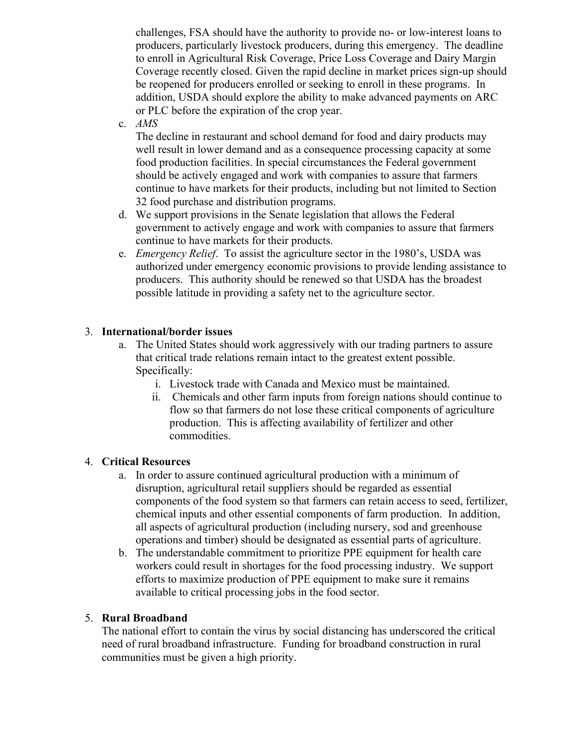challenges, FSA should have the authority to provide no- or low-interest loans to producers, particularly livestock producers, during this emergency. The deadline to enroll in Agricultural Risk Coverage, Price Loss Coverage and Dairy Margin Coverage recently closed. Given the rapid decline in market prices sign-up should be reopened for producers enrolled or seeking to enroll in these programs. In addition, USDA should explore the ability to make advanced payments on ARC or PLC before the expiration of the crop year.

c. *AMS*

The decline in restaurant and school demand for food and dairy products may well result in lower demand and as a consequence processing capacity at some food production facilities. In special circumstances the Federal government should be actively engaged and work with companies to assure that farmers continue to have markets for their products, including but not limited to Section 32 food purchase and distribution programs.

- d. We support provisions in the Senate legislation that allows the Federal government to actively engage and work with companies to assure that farmers continue to have markets for their products.
- e. *Emergency Relief*. To assist the agriculture sector in the 1980's, USDA was authorized under emergency economic provisions to provide lending assistance to producers. This authority should be renewed so that USDA has the broadest possible latitude in providing a safety net to the agriculture sector.

# 3. **International/border issues**

- a. The United States should work aggressively with our trading partners to assure that critical trade relations remain intact to the greatest extent possible. Specifically:
	- i. Livestock trade with Canada and Mexico must be maintained.
	- ii. Chemicals and other farm inputs from foreign nations should continue to flow so that farmers do not lose these critical components of agriculture production. This is affecting availability of fertilizer and other commodities.

## 4. **Critical Resources**

- a. In order to assure continued agricultural production with a minimum of disruption, agricultural retail suppliers should be regarded as essential components of the food system so that farmers can retain access to seed, fertilizer, chemical inputs and other essential components of farm production. In addition, all aspects of agricultural production (including nursery, sod and greenhouse operations and timber) should be designated as essential parts of agriculture.
- b. The understandable commitment to prioritize PPE equipment for health care workers could result in shortages for the food processing industry. We support efforts to maximize production of PPE equipment to make sure it remains available to critical processing jobs in the food sector.

## 5. **Rural Broadband**

The national effort to contain the virus by social distancing has underscored the critical need of rural broadband infrastructure. Funding for broadband construction in rural communities must be given a high priority.